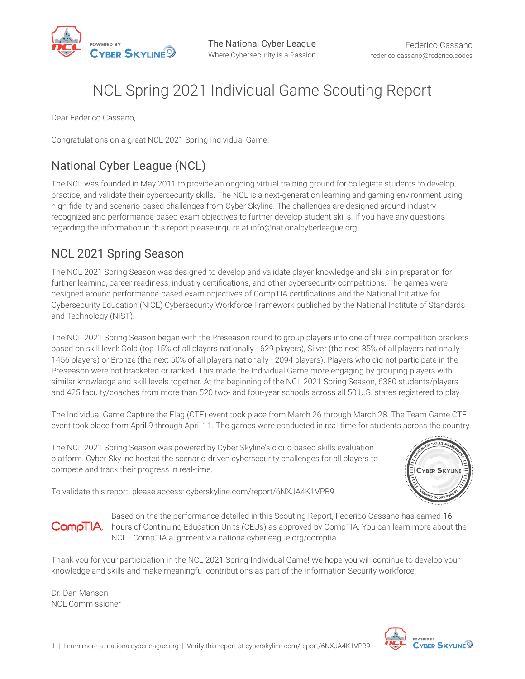

# NCL Spring 2021 Individual Game Scouting Report

Dear Federico Cassano,

Congratulations on a great NCL 2021 Spring Individual Game!

### National Cyber League (NCL)

The NCL was founded in May 2011 to provide an ongoing virtual training ground for collegiate students to develop, practice, and validate their cybersecurity skills. The NCL is a next-generation learning and gaming environment using high-fdelity and scenario-based challenges from Cyber Skyline. The challenges are designed around industry recognized and performance-based exam objectives to further develop student skills. If you have any questions regarding the information in this report please inquire at info@nationalcyberleague.org.

#### NCL 2021 Spring Season

The NCL 2021 Spring Season was designed to develop and validate player knowledge and skills in preparation for further learning, career readiness, industry certifcations, and other cybersecurity competitions. The games were designed around performance-based exam objectives of CompTIA certifcations and the National Initiative for Cybersecurity Education (NICE) Cybersecurity Workforce Framework published by the National Institute of Standards and Technology (NIST).

The NCL 2021 Spring Season began with the Preseason round to group players into one of three competition brackets based on skill level: Gold (top 15% of all players nationally - 629 players), Silver (the next 35% of all players nationally - 1456 players) or Bronze (the next 50% of all players nationally - 2094 players). Players who did not participate in the Preseason were not bracketed or ranked. This made the Individual Game more engaging by grouping players with similar knowledge and skill levels together. At the beginning of the NCL 2021 Spring Season, 6380 students/players and 425 faculty/coaches from more than 520 two- and four-year schools across all 50 U.S. states registered to play.

The Individual Game Capture the Flag (CTF) event took place from March 26 through March 28. The Team Game CTF event took place from April 9 through April 11. The games were conducted in real-time for students across the country.

The NCL 2021 Spring Season was powered by Cyber Skyline's cloud-based skills evaluation platform. Cyber Skyline hosted the scenario-driven cybersecurity challenges for all players to compete and track their progress in real-time.



To validate this report, please access: cyberskyline.com/report/6NXJA4K1VPB9



Based on the the performance detailed in this Scouting Report, Federico Cassano has earned 16 **CompTIA.** hours of Continuing Education Units (CEUs) as approved by CompTIA. You can learn more about the NCL - CompTIA alignment via nationalcyberleague.org/comptia

Thank you for your participation in the NCL 2021 Spring Individual Game! We hope you will continue to develop your knowledge and skills and make meaningful contributions as part of the Information Security workforce!

Dr. Dan Manson NCL Commissioner

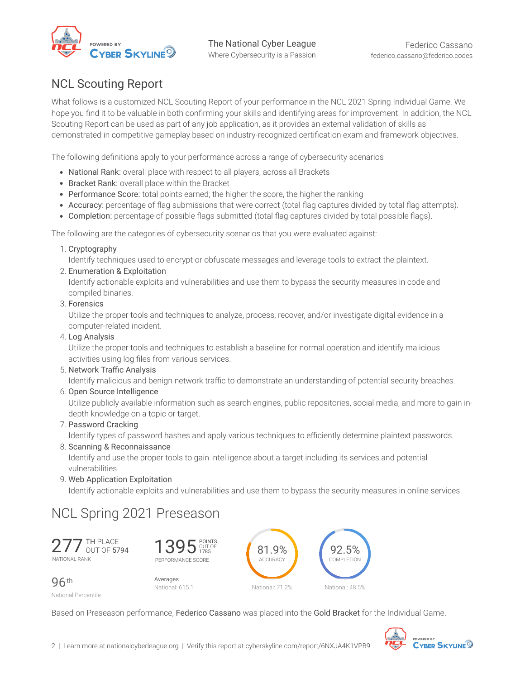

#### NCL Scouting Report

What follows is a customized NCL Scouting Report of your performance in the NCL 2021 Spring Individual Game. We hope you fnd it to be valuable in both confrming your skills and identifying areas for improvement. In addition, the NCL Scouting Report can be used as part of any job application, as it provides an external validation of skills as demonstrated in competitive gameplay based on industry-recognized certifcation exam and framework objectives.

The following defnitions apply to your performance across a range of cybersecurity scenarios

- National Rank: overall place with respect to all players, across all Brackets
- Bracket Rank: overall place within the Bracket
- Performance Score: total points earned; the higher the score, the higher the ranking
- Accuracy: percentage of flag submissions that were correct (total flag captures divided by total flag attempts).
- Completion: percentage of possible fags submitted (total fag captures divided by total possible fags).

The following are the categories of cybersecurity scenarios that you were evaluated against:

1. Cryptography

Identify techniques used to encrypt or obfuscate messages and leverage tools to extract the plaintext.

2. Enumeration & Exploitation

Identify actionable exploits and vulnerabilities and use them to bypass the security measures in code and compiled binaries.

3. Forensics

Utilize the proper tools and techniques to analyze, process, recover, and/or investigate digital evidence in a computer-related incident.

4. Log Analysis

Utilize the proper tools and techniques to establish a baseline for normal operation and identify malicious activities using log fles from various services.

5. Network Traffic Analysis

Identify malicious and benign network traffic to demonstrate an understanding of potential security breaches.

6. Open Source Intelligence

Utilize publicly available information such as search engines, public repositories, social media, and more to gain indepth knowledge on a topic or target.

7. Password Cracking

Identify types of password hashes and apply various techniques to efficiently determine plaintext passwords.

8. Scanning & Reconnaissance

Identify and use the proper tools to gain intelligence about a target including its services and potential vulnerabilities.

9. Web Application Exploitation

Identify actionable exploits and vulnerabilities and use them to bypass the security measures in online services.

### NCL Spring 2021 Preseason

277 TH PLACE NATIONAL RANK



96th

Averages National: 615.1

81.9% ACCURACY National: 71.2% 92.5% COMPLETION National: 48.5%

National Percentile

Based on Preseason performance, Federico Cassano was placed into the Gold Bracket for the Individual Game.

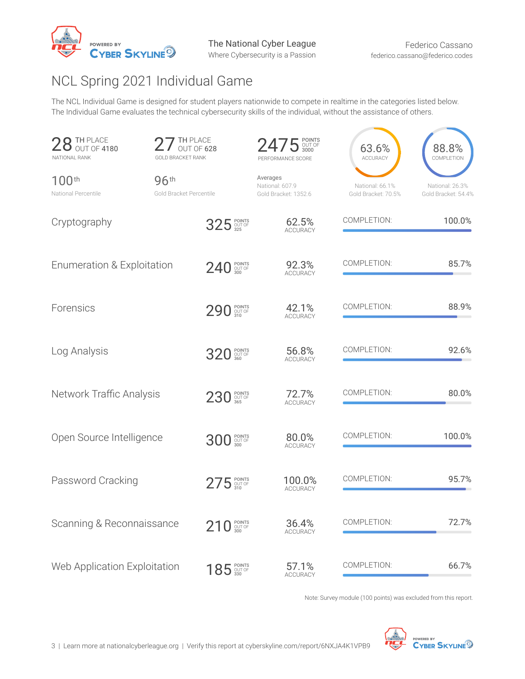

## NCL Spring 2021 Individual Game

The NCL Individual Game is designed for student players nationwide to compete in realtime in the categories listed below. The Individual Game evaluates the technical cybersecurity skills of the individual, without the assistance of others.

| TH PLACE<br>OUT OF 4180<br>NATIONAL RANK | <b>TH PLACE</b><br>OUT OF 628<br><b>GOLD BRACKET RANK</b> | PERFORMANCE SCORE                                   | 63.6%<br>ACCURACY                      | 88.8%<br>COMPLETION                    |
|------------------------------------------|-----------------------------------------------------------|-----------------------------------------------------|----------------------------------------|----------------------------------------|
| 100 <sup>th</sup><br>National Percentile | 96th<br>Gold Bracket Percentile                           | Averages<br>National: 607.9<br>Gold Bracket: 1352.6 | National: 66.1%<br>Gold Bracket: 70.5% | National: 26.3%<br>Gold Bracket: 54.4% |
| Cryptography                             | 325 POINTS                                                | 62.5%<br><b>ACCURACY</b>                            | COMPLETION:                            | 100.0%                                 |
| Enumeration & Exploitation               | 240 SOUT OF                                               | 92.3%<br><b>ACCURACY</b>                            | COMPLETION:                            | 85.7%                                  |
| Forensics                                | 290 310                                                   | 42.1%<br><b>ACCURACY</b>                            | COMPLETION:                            | 88.9%                                  |
| Log Analysis                             | 320 360 POINTS                                            | 56.8%<br><b>ACCURACY</b>                            | COMPLETION:                            | 92.6%                                  |
| Network Traffic Analysis                 | 230 POINTS                                                | 72.7%<br><b>ACCURACY</b>                            | COMPLETION:                            | 80.0%                                  |
| Open Source Intelligence                 | <b>300 300 BOINTS</b>                                     | 80.0%<br><b>ACCURACY</b>                            | COMPLETION:                            | 100.0%                                 |
| Password Cracking                        | $275$ SOUNTSE                                             | 100.0%<br><b>ACCURACY</b>                           | COMPLETION:                            | 95.7%                                  |
| Scanning & Reconnaissance                | 210 SOUT OF                                               | 36.4%<br>ACCURACY                                   | COMPLETION:                            | 72.7%                                  |
| Web Application Exploitation             | 185 SOUT OF                                               | 57.1%<br>ACCURACY                                   | COMPLETION:                            | 66.7%                                  |

Note: Survey module (100 points) was excluded from this report.

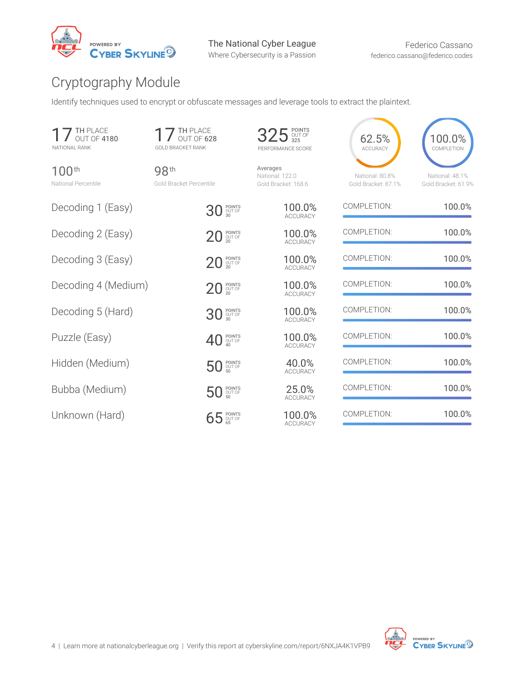

## Cryptography Module

Identify techniques used to encrypt or obfuscate messages and leverage tools to extract the plaintext.

| TH PLACE<br>OUT OF 4180<br>NATIONAL RANK | <b>TH PLACE</b><br>OUT OF 628<br><b>GOLD BRACKET RANK</b> | 325 SOUT OF<br>PERFORMANCE SCORE                   | 62.5%<br><b>ACCURACY</b>               | 100.0%<br>COMPLETION                   |
|------------------------------------------|-----------------------------------------------------------|----------------------------------------------------|----------------------------------------|----------------------------------------|
| $100^{th}$<br>National Percentile        | 98th<br>Gold Bracket Percentile                           | Averages<br>National: 122.0<br>Gold Bracket: 168.6 | National: 80.8%<br>Gold Bracket: 87.1% | National: 48.1%<br>Gold Bracket: 61.9% |
| Decoding 1 (Easy)                        | 30 POINTS                                                 | 100.0%<br><b>ACCURACY</b>                          | COMPLETION:                            | 100.0%                                 |
| Decoding 2 (Easy)                        | POINTS<br>OUT OF<br>20<br>20                              | 100.0%<br><b>ACCURACY</b>                          | COMPLETION:                            | 100.0%                                 |
| Decoding 3 (Easy)                        | $20$ POINTS                                               | 100.0%<br><b>ACCURACY</b>                          | COMPLETION:                            | 100.0%                                 |
| Decoding 4 (Medium)                      | $20$ POINTS                                               | 100.0%<br><b>ACCURACY</b>                          | COMPLETION:                            | 100.0%                                 |
| Decoding 5 (Hard)                        | 30 SOUT OF                                                | 100.0%<br><b>ACCURACY</b>                          | COMPLETION:                            | 100.0%                                 |
| Puzzle (Easy)                            | $40^{\frac{PONTS}{QUT OF}}$                               | 100.0%<br><b>ACCURACY</b>                          | COMPLETION:                            | 100.0%                                 |
| Hidden (Medium)                          | <b>50 POINTS</b>                                          | 40.0%<br><b>ACCURACY</b>                           | COMPLETION:                            | 100.0%                                 |
| Bubba (Medium)                           | <b>50 POINTS</b>                                          | 25.0%<br><b>ACCURACY</b>                           | COMPLETION:                            | 100.0%                                 |
| Unknown (Hard)                           | 65 POINTS                                                 | 100.0%<br><b>ACCURACY</b>                          | COMPLETION:                            | 100.0%                                 |

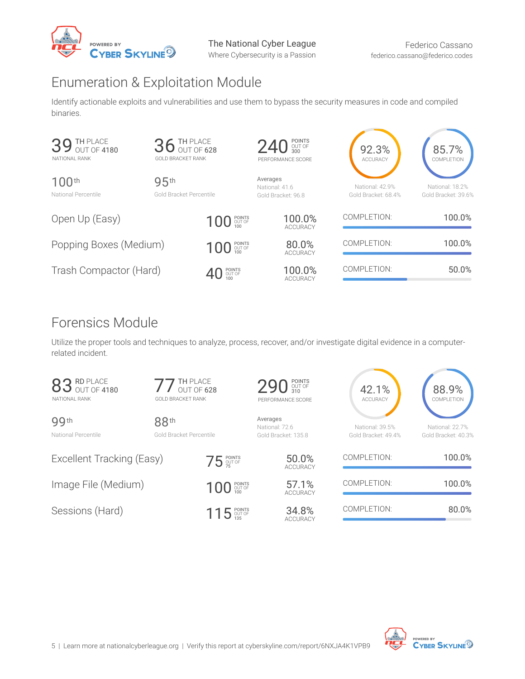

### Enumeration & Exploitation Module

Identify actionable exploits and vulnerabilities and use them to bypass the security measures in code and compiled binaries.

| TH PLACE<br>39 TH PLAUE<br>NATIONAL RANK | <b>GOLD BRACKET RANK</b>        | 36 TH PLACE                    | POINTS<br>OUT OF<br>300<br><b>240</b><br>PERFORMANCE SCORE | 92.3%<br><b>ACCURACY</b>               | 85.7%<br>COMPLETION                    |
|------------------------------------------|---------------------------------|--------------------------------|------------------------------------------------------------|----------------------------------------|----------------------------------------|
| 100 <sup>th</sup><br>National Percentile | 95th<br>Gold Bracket Percentile |                                | Averages<br>National: 41.6<br>Gold Bracket: 96.8           | National: 42.9%<br>Gold Bracket: 68.4% | National: 18.2%<br>Gold Bracket: 39.6% |
| Open Up (Easy)                           |                                 | 100 POINTS                     | 100.0%<br><b>ACCURACY</b>                                  | COMPLETION:                            | 100.0%                                 |
| Popping Boxes (Medium)                   |                                 | 100 POINTS                     | 80.0%<br><b>ACCURACY</b>                                   | COMPLETION:                            | 100.0%                                 |
| Trash Compactor (Hard)                   |                                 | $\bigoplus_{100}^{100}$ POINTS | 100.0%<br><b>ACCURACY</b>                                  | COMPLETION:                            | 50.0%                                  |

### Forensics Module

Utilize the proper tools and techniques to analyze, process, recover, and/or investigate digital evidence in a computerrelated incident.

| <b>RD PLACE</b><br>OUT OF 4180<br>NATIONAL RANK | <b>GOLD BRACKET RANK</b>        | TH PLACE<br>OUT OF 628 | 290 310<br>PERFORMANCE SCORE                      | 42.1%<br><b>ACCURACY</b>               | 88.9%<br>COMPLETION                    |
|-------------------------------------------------|---------------------------------|------------------------|---------------------------------------------------|----------------------------------------|----------------------------------------|
| 99th<br>National Percentile                     | 88th<br>Gold Bracket Percentile |                        | Averages<br>National: 72.6<br>Gold Bracket: 135.8 | National: 39.5%<br>Gold Bracket: 49.4% | National: 22.7%<br>Gold Bracket: 40.3% |
| Excellent Tracking (Easy)                       |                                 | $75$ POINTS            | 50.0%<br><b>ACCURACY</b>                          | COMPLETION:                            | 100.0%                                 |
| Image File (Medium)                             |                                 | 100 POINTS             | 57.1%<br><b>ACCURACY</b>                          | COMPLETION:                            | 100.0%                                 |
| Sessions (Hard)                                 |                                 | $115$ POINTS           | 34.8%<br><b>ACCURACY</b>                          | COMPLETION:                            | 80.0%                                  |

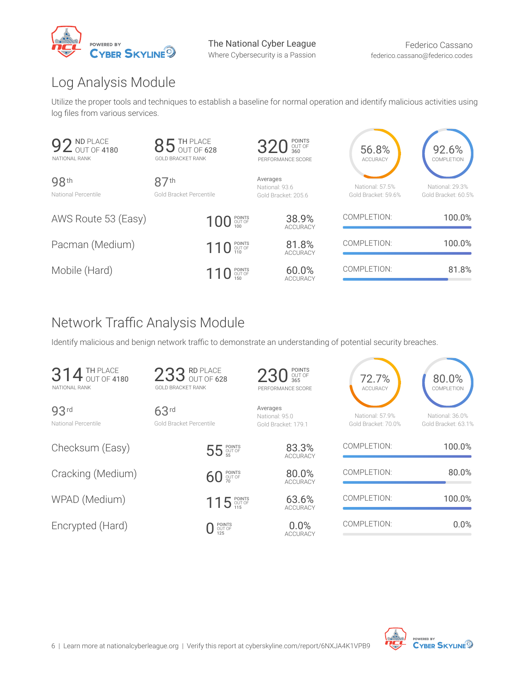

## Log Analysis Module

Utilize the proper tools and techniques to establish a baseline for normal operation and identify malicious activities using log fles from various services.

| ND PLACE<br><b>92 ND PLACE</b><br>NATIONAL RANK | 85 TH PLACE<br><b>GOLD BRACKET RANK</b>     | 320 SOUT OF<br>PERFORMANCE SCORE                  | 56.8%<br><b>ACCURACY</b>               | 92.6%<br>COMPLETION                    |
|-------------------------------------------------|---------------------------------------------|---------------------------------------------------|----------------------------------------|----------------------------------------|
| 98th<br>National Percentile                     | 87 <sup>th</sup><br>Gold Bracket Percentile | Averages<br>National: 93.6<br>Gold Bracket: 205.6 | National: 57.5%<br>Gold Bracket: 59.6% | National: 29.3%<br>Gold Bracket: 60.5% |
| AWS Route 53 (Easy)                             | 100 POINTS                                  | 38.9%<br><b>ACCURACY</b>                          | COMPLETION:                            | 100.0%                                 |
| Pacman (Medium)                                 | 110 POINTS                                  | 81.8%<br><b>ACCURACY</b>                          | COMPLETION:                            | 100.0%                                 |
| Mobile (Hard)                                   | 110 POINTS                                  | 60.0%<br><b>ACCURACY</b>                          | COMPLETION:                            | 81.8%                                  |

### Network Traffic Analysis Module

Identify malicious and benign network traffic to demonstrate an understanding of potential security breaches.

| <b>314 TH PLACE</b><br>NATIONAL RANK    | 233 RD PLACE<br><b>GOLD BRACKET RANK</b> | 230 SOUT OF<br>PERFORMANCE SCORE                  | 72.7%<br><b>ACCURACY</b>               | 80.0%<br>COMPLETION                    |
|-----------------------------------------|------------------------------------------|---------------------------------------------------|----------------------------------------|----------------------------------------|
| 93 <sup>rd</sup><br>National Percentile | 63rd<br>Gold Bracket Percentile          | Averages<br>National: 95.0<br>Gold Bracket: 179.1 | National: 57.9%<br>Gold Bracket: 70.0% | National: 36.0%<br>Gold Bracket: 63.1% |
| Checksum (Easy)                         | 55 POINTS                                | 83.3%<br><b>ACCURACY</b>                          | COMPLETION:                            | 100.0%                                 |
| Cracking (Medium)                       | <b>60 POINTS</b>                         | 80.0%<br><b>ACCURACY</b>                          | COMPLETION:                            | 80.0%                                  |
| WPAD (Medium)                           | 115 POINTS                               | 63.6%<br><b>ACCURACY</b>                          | COMPLETION:                            | 100.0%                                 |
| Encrypted (Hard)                        | POINTS<br>OUT OF<br>125                  | 0.0%<br><b>ACCURACY</b>                           | COMPLETION:                            | 0.0%                                   |

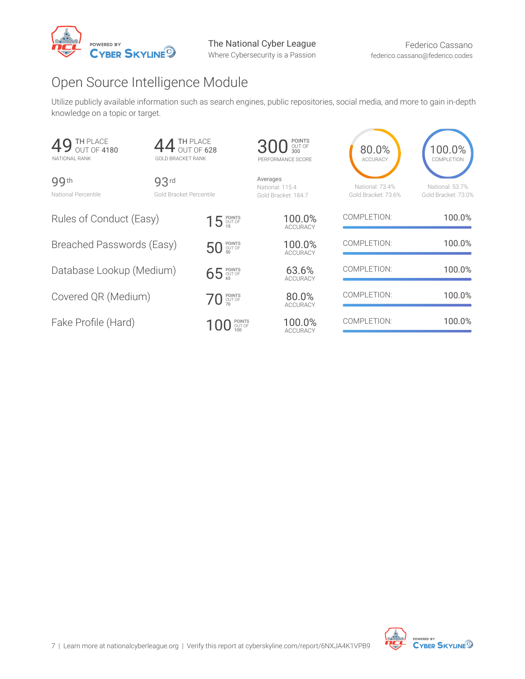

### Open Source Intelligence Module

Utilize publicly available information such as search engines, public repositories, social media, and more to gain in-depth knowledge on a topic or target.

| TH PLACE<br>OUT OF 4180<br>49<br>NATIONAL RANK | TH PLACE<br>OUT OF 628<br>GOLD BRACKET RANK        |                         | <b>300 300 POINTS</b><br>PERFORMANCE SCORE         | 80.0%<br><b>ACCURACY</b>               | 100.0%<br>COMPLETION                   |
|------------------------------------------------|----------------------------------------------------|-------------------------|----------------------------------------------------|----------------------------------------|----------------------------------------|
| 99th<br>National Percentile                    | 93 <sup>rd</sup><br><b>Gold Bracket Percentile</b> |                         | Averages<br>National: 115.4<br>Gold Bracket: 184.7 | National: 73.4%<br>Gold Bracket: 73.6% | National: 53.7%<br>Gold Bracket: 73.0% |
| Rules of Conduct (Easy)                        |                                                    | $15$ POINTS             | 100.0%<br><b>ACCURACY</b>                          | COMPLETION:                            | 100.0%                                 |
| Breached Passwords (Easy)                      |                                                    | $5050$ POINTS           | 100.0%<br><b>ACCURACY</b>                          | COMPLETION:                            | 100.0%                                 |
| Database Lookup (Medium)                       |                                                    | 65 POINTS               | 63.6%<br><b>ACCURACY</b>                           | COMPLETION:                            | 100.0%                                 |
| Covered QR (Medium)                            |                                                    | $70$ POINTS             | 80.0%<br><b>ACCURACY</b>                           | COMPLETION:                            | 100.0%                                 |
| Fake Profile (Hard)                            |                                                    | POINTS<br>OUT OF<br>100 | 100.0%<br><b>ACCURACY</b>                          | COMPLETION:                            | 100.0%                                 |

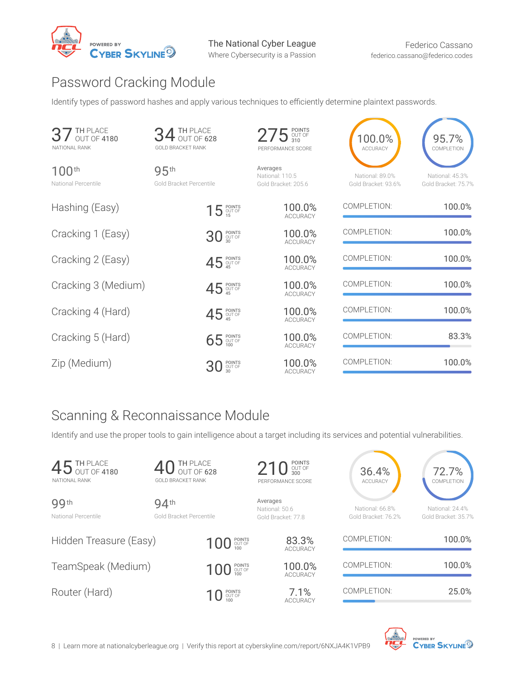

### Password Cracking Module

Identify types of password hashes and apply various techniques to efficiently determine plaintext passwords.

| TH PLACE<br>OUT OF 4180<br>NATIONAL RANK | $4$ TH PLACE<br>$4$ out of 628<br><b>GOLD BRACKET RANK</b> | $275$ $_{\tiny \rm 310}^{\rm 201NTS}$<br>PERFORMANCE SCORE | 100.0%<br><b>ACCURACY</b>              | 95.7%<br>COMPLETION                    |
|------------------------------------------|------------------------------------------------------------|------------------------------------------------------------|----------------------------------------|----------------------------------------|
| 100 <sup>th</sup><br>National Percentile | 95th<br>Gold Bracket Percentile                            | Averages<br>National: 110.5<br>Gold Bracket: 205.6         | National: 89.0%<br>Gold Bracket: 93.6% | National: 45.3%<br>Gold Bracket: 75.7% |
| Hashing (Easy)                           | 15 POINTS                                                  | 100.0%<br><b>ACCURACY</b>                                  | COMPLETION:                            | 100.0%                                 |
| Cracking 1 (Easy)                        | 30 SOLT OF                                                 | 100.0%<br><b>ACCURACY</b>                                  | COMPLETION:                            | 100.0%                                 |
| Cracking 2 (Easy)                        | 45 POINTS                                                  | 100.0%<br><b>ACCURACY</b>                                  | COMPLETION:                            | 100.0%                                 |
| Cracking 3 (Medium)                      | 45 POINTS                                                  | 100.0%<br><b>ACCURACY</b>                                  | COMPLETION:                            | 100.0%                                 |
| Cracking 4 (Hard)                        | 45 POINTS                                                  | 100.0%<br><b>ACCURACY</b>                                  | COMPLETION:                            | 100.0%                                 |
| Cracking 5 (Hard)                        | 65 POINTS                                                  | 100.0%<br><b>ACCURACY</b>                                  | COMPLETION:                            | 83.3%                                  |
| Zip (Medium)                             | POINTS<br>OUT OF                                           | 100.0%<br><b>ACCURACY</b>                                  | COMPLETION:                            | 100.0%                                 |

## Scanning & Reconnaissance Module

Identify and use the proper tools to gain intelligence about a target including its services and potential vulnerabilities.

| 45 TH PLACE<br>NATIONAL RANK | 40 TH PLACE<br><b>GOLD BRACKET RANK</b> | 210 SOUT OF<br>PERFORMANCE SCORE                 | 36.4%<br><b>ACCURACY</b>               | 72.7%<br>COMPLETION                    |
|------------------------------|-----------------------------------------|--------------------------------------------------|----------------------------------------|----------------------------------------|
| 99th<br>National Percentile  | 94th<br>Gold Bracket Percentile         | Averages<br>National: 50.6<br>Gold Bracket: 77.8 | National: 66.8%<br>Gold Bracket: 76.2% | National: 24.4%<br>Gold Bracket: 35.7% |
| Hidden Treasure (Easy)       | 100 POINTS                              | 83.3%<br><b>ACCURACY</b>                         | COMPLETION:                            | 100.0%                                 |
| TeamSpeak (Medium)           | 100 POINTS                              | 100.0%<br><b>ACCURACY</b>                        | COMPLETION:                            | 100.0%                                 |
| Router (Hard)                | $10$ POINTS                             | 7.1%<br><b>ACCURACY</b>                          | COMPLETION:                            | 25.0%                                  |